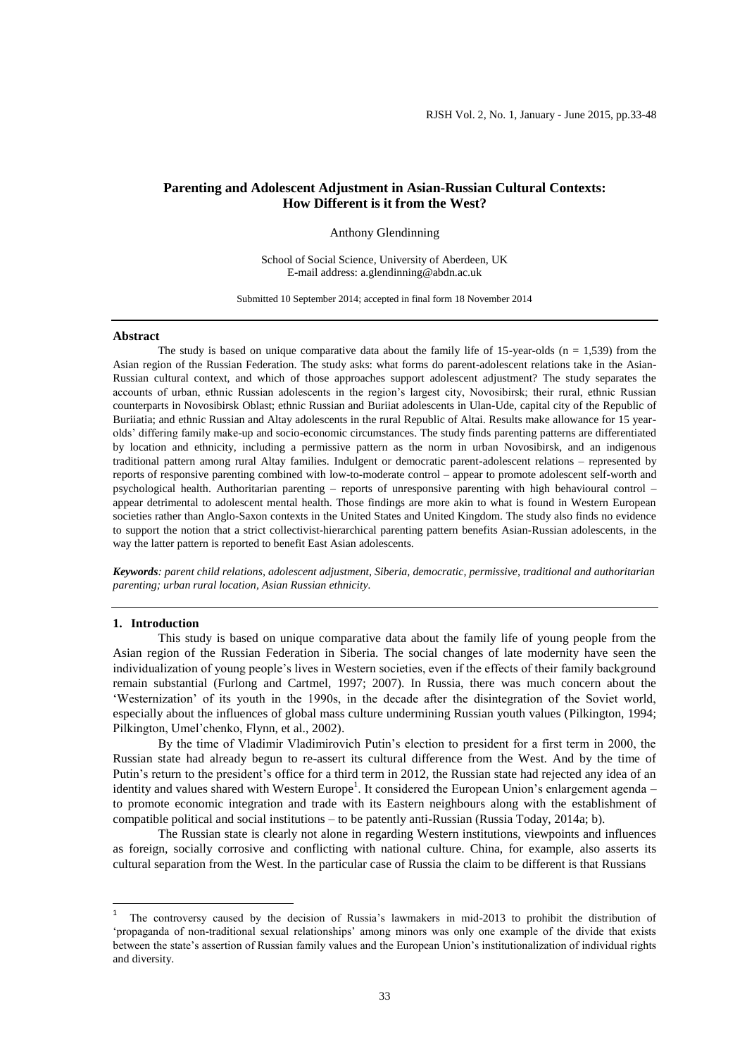# **Parenting and Adolescent Adjustment in Asian-Russian Cultural Contexts: How Different is it from the West?**

Anthony Glendinning

School of Social Science, University of Aberdeen, UK E-mail address: a.glendinning@abdn.ac.uk

Submitted 10 September 2014; accepted in final form 18 November 2014

#### **Abstract**

The study is based on unique comparative data about the family life of 15-year-olds ( $n = 1,539$ ) from the Asian region of the Russian Federation. The study asks: what forms do parent-adolescent relations take in the Asian-Russian cultural context, and which of those approaches support adolescent adjustment? The study separates the accounts of urban, ethnic Russian adolescents in the region's largest city, Novosibirsk; their rural, ethnic Russian counterparts in Novosibirsk Oblast; ethnic Russian and Buriiat adolescents in Ulan-Ude, capital city of the Republic of Buriiatia; and ethnic Russian and Altay adolescents in the rural Republic of Altai. Results make allowance for 15 yearolds' differing family make-up and socio-economic circumstances. The study finds parenting patterns are differentiated by location and ethnicity, including a permissive pattern as the norm in urban Novosibirsk, and an indigenous traditional pattern among rural Altay families. Indulgent or democratic parent-adolescent relations – represented by reports of responsive parenting combined with low-to-moderate control – appear to promote adolescent self-worth and psychological health. Authoritarian parenting – reports of unresponsive parenting with high behavioural control – appear detrimental to adolescent mental health. Those findings are more akin to what is found in Western European societies rather than Anglo-Saxon contexts in the United States and United Kingdom. The study also finds no evidence to support the notion that a strict collectivist-hierarchical parenting pattern benefits Asian-Russian adolescents, in the way the latter pattern is reported to benefit East Asian adolescents.

*Keywords: parent child relations, adolescent adjustment, Siberia, democratic, permissive, traditional and authoritarian parenting; urban rural location, Asian Russian ethnicity.*

### **1. Introduction**

This study is based on unique comparative data about the family life of young people from the Asian region of the Russian Federation in Siberia. The social changes of late modernity have seen the individualization of young people's lives in Western societies, even if the effects of their family background remain substantial (Furlong and Cartmel, 1997; 2007). In Russia, there was much concern about the 'Westernization' of its youth in the 1990s, in the decade after the disintegration of the Soviet world, especially about the influences of global mass culture undermining Russian youth values (Pilkington, 1994; Pilkington, Umel'chenko, Flynn, et al., 2002).

By the time of Vladimir Vladimirovich Putin's election to president for a first term in 2000, the Russian state had already begun to re-assert its cultural difference from the West. And by the time of Putin's return to the president's office for a third term in 2012, the Russian state had rejected any idea of an identity and values shared with Western Europe<sup>1</sup>. It considered the European Union's enlargement agenda – to promote economic integration and trade with its Eastern neighbours along with the establishment of compatible political and social institutions – to be patently anti-Russian (Russia Today, 2014a; b).

The Russian state is clearly not alone in regarding Western institutions, viewpoints and influences as foreign, socially corrosive and conflicting with national culture. China, for example, also asserts its cultural separation from the West. In the particular case of Russia the claim to be different is that Russians

 $\frac{1}{1}$  The controversy caused by the decision of Russia's lawmakers in mid-2013 to prohibit the distribution of 'propaganda of non-traditional sexual relationships' among minors was only one example of the divide that exists between the state's assertion of Russian family values and the European Union's institutionalization of individual rights and diversity.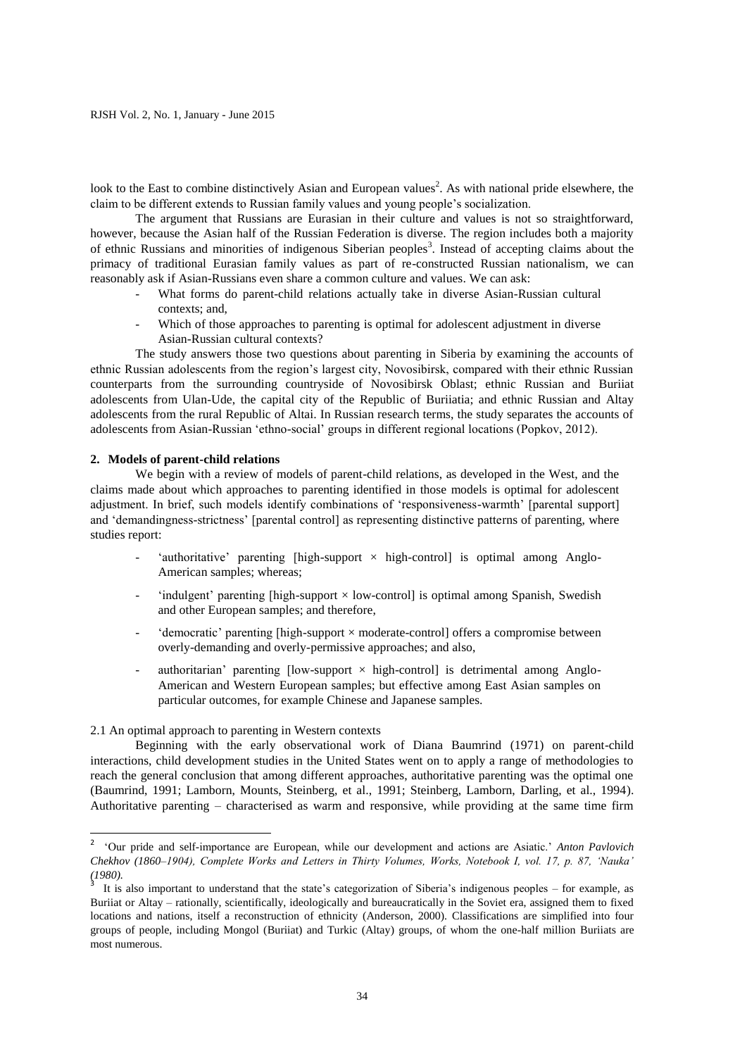look to the East to combine distinctively Asian and European values<sup>2</sup>. As with national pride elsewhere, the claim to be different extends to Russian family values and young people's socialization.

The argument that Russians are Eurasian in their culture and values is not so straightforward, however, because the Asian half of the Russian Federation is diverse. The region includes both a majority of ethnic Russians and minorities of indigenous Siberian peoples<sup>3</sup>. Instead of accepting claims about the primacy of traditional Eurasian family values as part of re-constructed Russian nationalism, we can reasonably ask if Asian-Russians even share a common culture and values. We can ask:

- What forms do parent-child relations actually take in diverse Asian-Russian cultural contexts; and,
- Which of those approaches to parenting is optimal for adolescent adjustment in diverse Asian-Russian cultural contexts?

The study answers those two questions about parenting in Siberia by examining the accounts of ethnic Russian adolescents from the region's largest city, Novosibirsk, compared with their ethnic Russian counterparts from the surrounding countryside of Novosibirsk Oblast; ethnic Russian and Buriiat adolescents from Ulan-Ude, the capital city of the Republic of Buriiatia; and ethnic Russian and Altay adolescents from the rural Republic of Altai. In Russian research terms, the study separates the accounts of adolescents from Asian-Russian 'ethno-social' groups in different regional locations (Popkov, 2012).

## **2. Models of parent-child relations**

We begin with a review of models of parent-child relations, as developed in the West, and the claims made about which approaches to parenting identified in those models is optimal for adolescent adjustment. In brief, such models identify combinations of 'responsiveness-warmth' [parental support] and 'demandingness-strictness' [parental control] as representing distinctive patterns of parenting, where studies report:

- 'authoritative' parenting [high-support  $\times$  high-control] is optimal among Anglo-American samples; whereas;
- 'indulgent' parenting [high-support  $\times$  low-control] is optimal among Spanish, Swedish and other European samples; and therefore,
- ' democratic' parenting [high-support  $\times$  moderate-control] offers a compromise between overly-demanding and overly-permissive approaches; and also,
- authoritarian' parenting  $[low-support \times high-control]$  is detrimental among Anglo-American and Western European samples; but effective among East Asian samples on particular outcomes, for example Chinese and Japanese samples.

2.1 An optimal approach to parenting in Western contexts

Beginning with the early observational work of Diana Baumrind (1971) on parent-child interactions, child development studies in the United States went on to apply a range of methodologies to reach the general conclusion that among different approaches, authoritative parenting was the optimal one (Baumrind, 1991; Lamborn, Mounts, Steinberg, et al., 1991; Steinberg, Lamborn, Darling, et al., 1994). Authoritative parenting – characterised as warm and responsive, while providing at the same time firm

 2 'Our pride and self-importance are European, while our development and actions are Asiatic.' *Anton Pavlovich Chekhov (1860–1904), Complete Works and Letters in Thirty Volumes, Works, Notebook I, vol. 17, p. 87, 'Nauka' (1980).* 3

It is also important to understand that the state's categorization of Siberia's indigenous peoples – for example, as Buriiat or Altay – rationally, scientifically, ideologically and bureaucratically in the Soviet era, assigned them to fixed locations and nations, itself a reconstruction of ethnicity (Anderson, 2000). Classifications are simplified into four groups of people, including Mongol (Buriiat) and Turkic (Altay) groups, of whom the one-half million Buriiats are most numerous.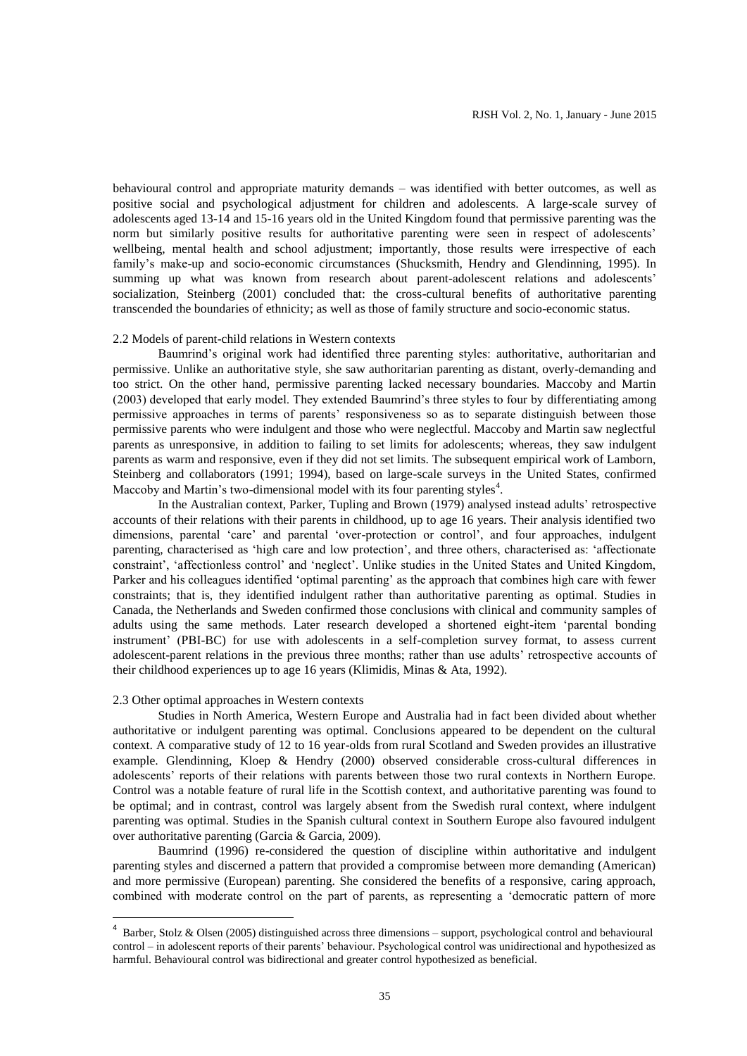behavioural control and appropriate maturity demands – was identified with better outcomes, as well as positive social and psychological adjustment for children and adolescents. A large-scale survey of adolescents aged 13-14 and 15-16 years old in the United Kingdom found that permissive parenting was the norm but similarly positive results for authoritative parenting were seen in respect of adolescents' wellbeing, mental health and school adjustment; importantly, those results were irrespective of each family's make-up and socio-economic circumstances (Shucksmith, Hendry and Glendinning, 1995). In summing up what was known from research about parent-adolescent relations and adolescents' socialization, Steinberg (2001) concluded that: the cross-cultural benefits of authoritative parenting transcended the boundaries of ethnicity; as well as those of family structure and socio-economic status.

## 2.2 Models of parent-child relations in Western contexts

Baumrind's original work had identified three parenting styles: authoritative, authoritarian and permissive. Unlike an authoritative style, she saw authoritarian parenting as distant, overly-demanding and too strict. On the other hand, permissive parenting lacked necessary boundaries. Maccoby and Martin (2003) developed that early model. They extended Baumrind's three styles to four by differentiating among permissive approaches in terms of parents' responsiveness so as to separate distinguish between those permissive parents who were indulgent and those who were neglectful. Maccoby and Martin saw neglectful parents as unresponsive, in addition to failing to set limits for adolescents; whereas, they saw indulgent parents as warm and responsive, even if they did not set limits. The subsequent empirical work of Lamborn, Steinberg and collaborators (1991; 1994), based on large-scale surveys in the United States, confirmed Maccoby and Martin's two-dimensional model with its four parenting styles<sup>4</sup>.

In the Australian context, Parker, Tupling and Brown (1979) analysed instead adults' retrospective accounts of their relations with their parents in childhood, up to age 16 years. Their analysis identified two dimensions, parental 'care' and parental 'over-protection or control', and four approaches, indulgent parenting, characterised as 'high care and low protection', and three others, characterised as: 'affectionate constraint', 'affectionless control' and 'neglect'. Unlike studies in the United States and United Kingdom, Parker and his colleagues identified 'optimal parenting' as the approach that combines high care with fewer constraints; that is, they identified indulgent rather than authoritative parenting as optimal. Studies in Canada, the Netherlands and Sweden confirmed those conclusions with clinical and community samples of adults using the same methods. Later research developed a shortened eight-item 'parental bonding instrument' (PBI-BC) for use with adolescents in a self-completion survey format, to assess current adolescent-parent relations in the previous three months; rather than use adults' retrospective accounts of their childhood experiences up to age 16 years (Klimidis, Minas & Ata, 1992).

#### 2.3 Other optimal approaches in Western contexts

**.** 

Studies in North America, Western Europe and Australia had in fact been divided about whether authoritative or indulgent parenting was optimal. Conclusions appeared to be dependent on the cultural context. A comparative study of 12 to 16 year-olds from rural Scotland and Sweden provides an illustrative example. Glendinning, Kloep & Hendry (2000) observed considerable cross-cultural differences in adolescents' reports of their relations with parents between those two rural contexts in Northern Europe. Control was a notable feature of rural life in the Scottish context, and authoritative parenting was found to be optimal; and in contrast, control was largely absent from the Swedish rural context, where indulgent parenting was optimal. Studies in the Spanish cultural context in Southern Europe also favoured indulgent over authoritative parenting (Garcia & Garcia, 2009).

Baumrind (1996) re-considered the question of discipline within authoritative and indulgent parenting styles and discerned a pattern that provided a compromise between more demanding (American) and more permissive (European) parenting. She considered the benefits of a responsive, caring approach, combined with moderate control on the part of parents, as representing a 'democratic pattern of more

 $4$  Barber, Stolz & Olsen (2005) distinguished across three dimensions – support, psychological control and behavioural control – in adolescent reports of their parents' behaviour. Psychological control was unidirectional and hypothesized as harmful. Behavioural control was bidirectional and greater control hypothesized as beneficial.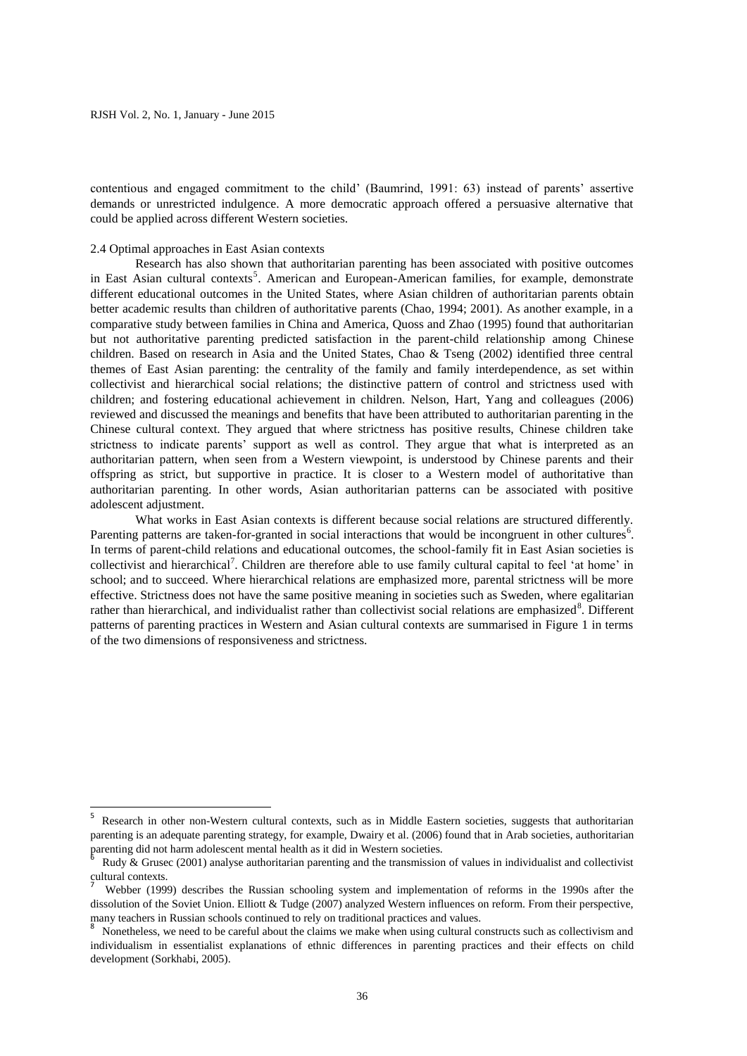contentious and engaged commitment to the child' (Baumrind, 1991: 63) instead of parents' assertive demands or unrestricted indulgence. A more democratic approach offered a persuasive alternative that could be applied across different Western societies.

### 2.4 Optimal approaches in East Asian contexts

Research has also shown that authoritarian parenting has been associated with positive outcomes in East Asian cultural contexts<sup>5</sup>. American and European-American families, for example, demonstrate different educational outcomes in the United States, where Asian children of authoritarian parents obtain better academic results than children of authoritative parents (Chao, 1994; 2001). As another example, in a comparative study between families in China and America, Quoss and Zhao (1995) found that authoritarian but not authoritative parenting predicted satisfaction in the parent-child relationship among Chinese children. Based on research in Asia and the United States, Chao & Tseng (2002) identified three central themes of East Asian parenting: the centrality of the family and family interdependence, as set within collectivist and hierarchical social relations; the distinctive pattern of control and strictness used with children; and fostering educational achievement in children. Nelson, Hart, Yang and colleagues (2006) reviewed and discussed the meanings and benefits that have been attributed to authoritarian parenting in the Chinese cultural context. They argued that where strictness has positive results, Chinese children take strictness to indicate parents' support as well as control. They argue that what is interpreted as an authoritarian pattern, when seen from a Western viewpoint, is understood by Chinese parents and their offspring as strict, but supportive in practice. It is closer to a Western model of authoritative than authoritarian parenting. In other words, Asian authoritarian patterns can be associated with positive adolescent adjustment.

What works in East Asian contexts is different because social relations are structured differently. Parenting patterns are taken-for-granted in social interactions that would be incongruent in other cultures<sup>6</sup>. In terms of parent-child relations and educational outcomes, the school-family fit in East Asian societies is collectivist and hierarchical<sup>7</sup>. Children are therefore able to use family cultural capital to feel 'at home' in school; and to succeed. Where hierarchical relations are emphasized more, parental strictness will be more effective. Strictness does not have the same positive meaning in societies such as Sweden, where egalitarian rather than hierarchical, and individualist rather than collectivist social relations are emphasized<sup>8</sup>. Different patterns of parenting practices in Western and Asian cultural contexts are summarised in Figure 1 in terms of the two dimensions of responsiveness and strictness.

**EXECTS**<br><sup>5</sup> Research in other non-Western cultural contexts, such as in Middle Eastern societies, suggests that authoritarian parenting is an adequate parenting strategy, for example, Dwairy et al. (2006) found that in Arab societies, authoritarian parenting did not harm adolescent mental health as it did in Western societies.<br><sup>6</sup> Purks & Causes (2001) angless suth situation according and the transmission

Rudy & Grusec (2001) analyse authoritarian parenting and the transmission of values in individualist and collectivist cultural contexts.

<sup>7</sup> Webber (1999) describes the Russian schooling system and implementation of reforms in the 1990s after the dissolution of the Soviet Union. Elliott & Tudge (2007) analyzed Western influences on reform. From their perspective, many teachers in Russian schools continued to rely on traditional practices and values.

<sup>8</sup> Nonetheless, we need to be careful about the claims we make when using cultural constructs such as collectivism and individualism in essentialist explanations of ethnic differences in parenting practices and their effects on child development (Sorkhabi, 2005).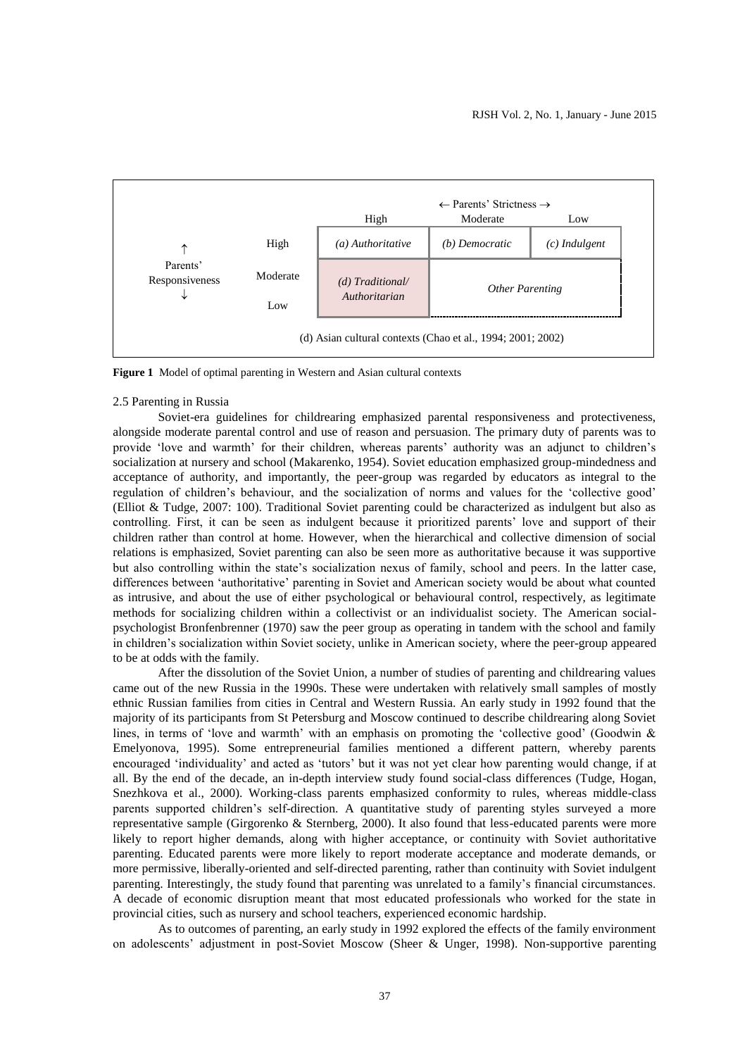

**Figure 1** Model of optimal parenting in Western and Asian cultural contexts

#### 2.5 Parenting in Russia

Soviet-era guidelines for childrearing emphasized parental responsiveness and protectiveness, alongside moderate parental control and use of reason and persuasion. The primary duty of parents was to provide 'love and warmth' for their children, whereas parents' authority was an adjunct to children's socialization at nursery and school (Makarenko, 1954). Soviet education emphasized group-mindedness and acceptance of authority, and importantly, the peer-group was regarded by educators as integral to the regulation of children's behaviour, and the socialization of norms and values for the 'collective good' (Elliot & Tudge, 2007: 100). Traditional Soviet parenting could be characterized as indulgent but also as controlling. First, it can be seen as indulgent because it prioritized parents' love and support of their children rather than control at home. However, when the hierarchical and collective dimension of social relations is emphasized, Soviet parenting can also be seen more as authoritative because it was supportive but also controlling within the state's socialization nexus of family, school and peers. In the latter case, differences between 'authoritative' parenting in Soviet and American society would be about what counted as intrusive, and about the use of either psychological or behavioural control, respectively, as legitimate methods for socializing children within a collectivist or an individualist society. The American socialpsychologist Bronfenbrenner (1970) saw the peer group as operating in tandem with the school and family in children's socialization within Soviet society, unlike in American society, where the peer-group appeared to be at odds with the family.

After the dissolution of the Soviet Union, a number of studies of parenting and childrearing values came out of the new Russia in the 1990s. These were undertaken with relatively small samples of mostly ethnic Russian families from cities in Central and Western Russia. An early study in 1992 found that the majority of its participants from St Petersburg and Moscow continued to describe childrearing along Soviet lines, in terms of 'love and warmth' with an emphasis on promoting the 'collective good' (Goodwin & Emelyonova, 1995). Some entrepreneurial families mentioned a different pattern, whereby parents encouraged 'individuality' and acted as 'tutors' but it was not yet clear how parenting would change, if at all. By the end of the decade, an in-depth interview study found social-class differences (Tudge, Hogan, Snezhkova et al., 2000). Working-class parents emphasized conformity to rules, whereas middle-class parents supported children's self-direction. A quantitative study of parenting styles surveyed a more representative sample (Girgorenko & Sternberg, 2000). It also found that less-educated parents were more likely to report higher demands, along with higher acceptance, or continuity with Soviet authoritative parenting. Educated parents were more likely to report moderate acceptance and moderate demands, or more permissive, liberally-oriented and self-directed parenting, rather than continuity with Soviet indulgent parenting. Interestingly, the study found that parenting was unrelated to a family's financial circumstances. A decade of economic disruption meant that most educated professionals who worked for the state in provincial cities, such as nursery and school teachers, experienced economic hardship.

As to outcomes of parenting, an early study in 1992 explored the effects of the family environment on adolescents' adjustment in post-Soviet Moscow (Sheer & Unger, 1998). Non-supportive parenting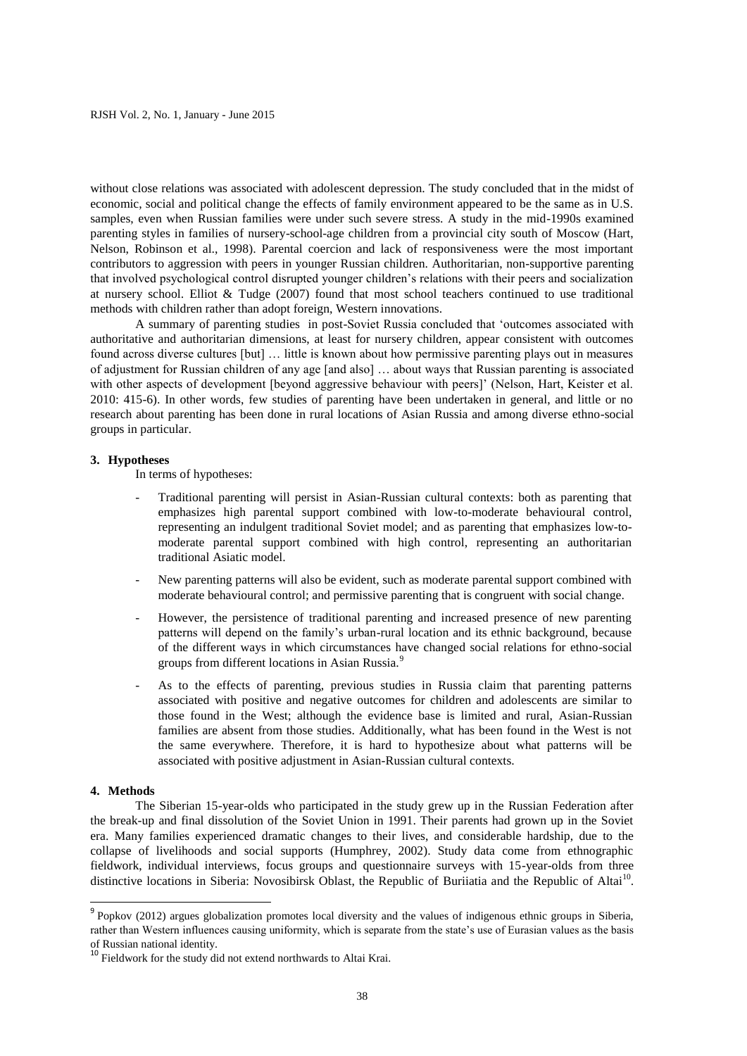without close relations was associated with adolescent depression. The study concluded that in the midst of economic, social and political change the effects of family environment appeared to be the same as in U.S. samples, even when Russian families were under such severe stress. A study in the mid-1990s examined parenting styles in families of nursery-school-age children from a provincial city south of Moscow (Hart, Nelson, Robinson et al., 1998). Parental coercion and lack of responsiveness were the most important contributors to aggression with peers in younger Russian children. Authoritarian, non-supportive parenting that involved psychological control disrupted younger children's relations with their peers and socialization at nursery school. Elliot & Tudge (2007) found that most school teachers continued to use traditional methods with children rather than adopt foreign, Western innovations.

A summary of parenting studies in post-Soviet Russia concluded that 'outcomes associated with authoritative and authoritarian dimensions, at least for nursery children, appear consistent with outcomes found across diverse cultures [but] … little is known about how permissive parenting plays out in measures of adjustment for Russian children of any age [and also] … about ways that Russian parenting is associated with other aspects of development [beyond aggressive behaviour with peers]' (Nelson, Hart, Keister et al. 2010: 415-6). In other words, few studies of parenting have been undertaken in general, and little or no research about parenting has been done in rural locations of Asian Russia and among diverse ethno-social groups in particular.

### **3. Hypotheses**

In terms of hypotheses:

- Traditional parenting will persist in Asian-Russian cultural contexts: both as parenting that emphasizes high parental support combined with low-to-moderate behavioural control, representing an indulgent traditional Soviet model; and as parenting that emphasizes low-tomoderate parental support combined with high control, representing an authoritarian traditional Asiatic model.
- New parenting patterns will also be evident, such as moderate parental support combined with moderate behavioural control; and permissive parenting that is congruent with social change.
- However, the persistence of traditional parenting and increased presence of new parenting patterns will depend on the family's urban-rural location and its ethnic background, because of the different ways in which circumstances have changed social relations for ethno-social groups from different locations in Asian Russia.<sup>9</sup>
- As to the effects of parenting, previous studies in Russia claim that parenting patterns associated with positive and negative outcomes for children and adolescents are similar to those found in the West; although the evidence base is limited and rural, Asian-Russian families are absent from those studies. Additionally, what has been found in the West is not the same everywhere. Therefore, it is hard to hypothesize about what patterns will be associated with positive adjustment in Asian-Russian cultural contexts.

#### **4. Methods**

The Siberian 15-year-olds who participated in the study grew up in the Russian Federation after the break-up and final dissolution of the Soviet Union in 1991. Their parents had grown up in the Soviet era. Many families experienced dramatic changes to their lives, and considerable hardship, due to the collapse of livelihoods and social supports (Humphrey, 2002). Study data come from ethnographic fieldwork, individual interviews, focus groups and questionnaire surveys with 15-year-olds from three distinctive locations in Siberia: Novosibirsk Oblast, the Republic of Buriiatia and the Republic of Altai<sup>10</sup>.

Popkov (2012) argues globalization promotes local diversity and the values of indigenous ethnic groups in Siberia, rather than Western influences causing uniformity, which is separate from the state's use of Eurasian values as the basis of Russian national identity.

<sup>&</sup>lt;sup>10</sup> Fieldwork for the study did not extend northwards to Altai Krai.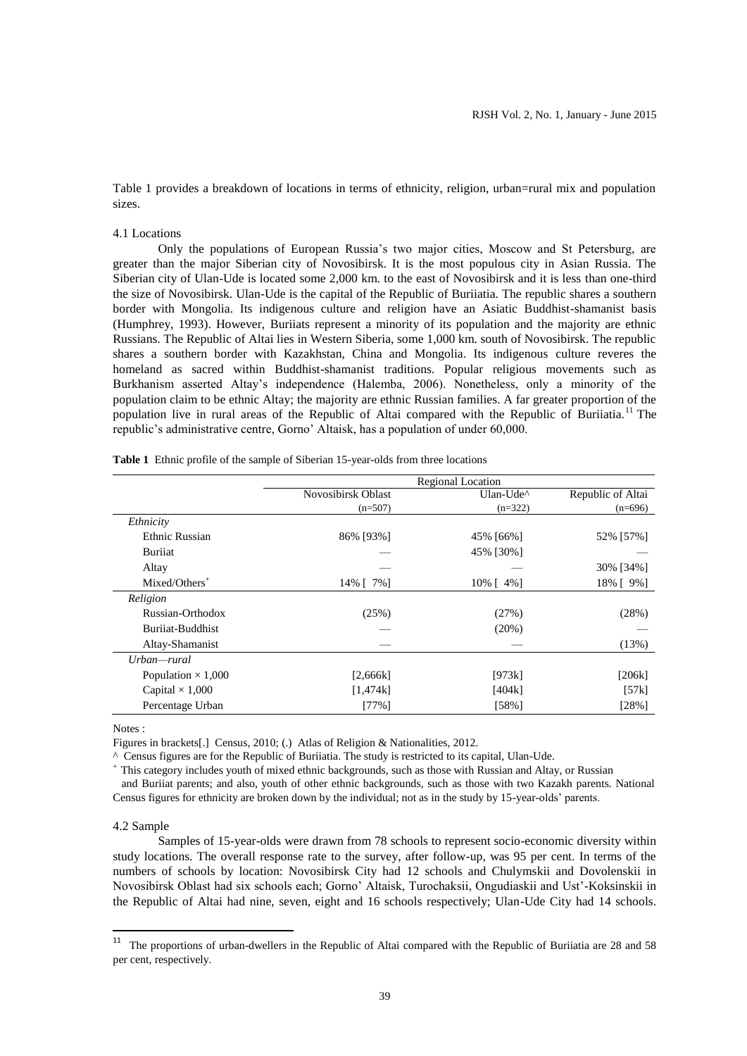Table 1 provides a breakdown of locations in terms of ethnicity, religion, urban=rural mix and population sizes.

## 4.1 Locations

Only the populations of European Russia's two major cities, Moscow and St Petersburg, are greater than the major Siberian city of Novosibirsk. It is the most populous city in Asian Russia. The Siberian city of Ulan-Ude is located some 2,000 km. to the east of Novosibirsk and it is less than one-third the size of Novosibirsk. Ulan-Ude is the capital of the Republic of Buriiatia. The republic shares a southern border with Mongolia. Its indigenous culture and religion have an Asiatic Buddhist-shamanist basis (Humphrey, 1993). However, Buriiats represent a minority of its population and the majority are ethnic Russians. The Republic of Altai lies in Western Siberia, some 1,000 km. south of Novosibirsk. The republic shares a southern border with Kazakhstan, China and Mongolia. Its indigenous culture reveres the homeland as sacred within Buddhist-shamanist traditions. Popular religious movements such as Burkhanism asserted Altay's independence (Halemba, 2006). Nonetheless, only a minority of the population claim to be ethnic Altay; the majority are ethnic Russian families. A far greater proportion of the population live in rural areas of the Republic of Altai compared with the Republic of Buriiatia.<sup>11</sup> The republic's administrative centre, Gorno' Altaisk, has a population of under 60,000.

|                           | <b>Regional Location</b> |                |                   |  |
|---------------------------|--------------------------|----------------|-------------------|--|
|                           | Novosibirsk Oblast       | Ulan-Ude^      | Republic of Altai |  |
|                           | $(n=507)$                | $(n=322)$      | $(n=696)$         |  |
| Ethnicity                 |                          |                |                   |  |
| Ethnic Russian            | 86% [93%]                | 45% [66%]      | 52% [57%]         |  |
| Buriiat                   |                          | 45% [30%]      |                   |  |
| Altay                     |                          |                | 30% [34%]         |  |
| $Mixed/ Others^+$         | 14% [ 7%]                | $10\%$ [ 4\% ] | 18% [ 9%]         |  |
| Religion                  |                          |                |                   |  |
| Russian-Orthodox          | (25%)                    | (27%)          | (28%)             |  |
| Buriiat-Buddhist          |                          | $(20\%)$       |                   |  |
| Altay-Shamanist           |                          |                | (13%)             |  |
| Urban—rural               |                          |                |                   |  |
| Population $\times$ 1,000 | [2,666k]                 | [973k]         | [206k]            |  |
| Capital $\times$ 1,000    | [1,474k]                 | [404k]         | [57k]             |  |
| Percentage Urban          | $[77\%]$                 | [58%]          | $[28\%]$          |  |

|  |  | <b>Table 1</b> Ethnic profile of the sample of Siberian 15-year-olds from three locations |  |
|--|--|-------------------------------------------------------------------------------------------|--|
|--|--|-------------------------------------------------------------------------------------------|--|

Notes :

Figures in brackets[.] Census, 2010; (.) Atlas of Religion & Nationalities, 2012.

^ Census figures are for the Republic of Buriiatia. The study is restricted to its capital, Ulan-Ude.

<sup>+</sup> This category includes youth of mixed ethnic backgrounds, such as those with Russian and Altay, or Russian

 and Buriiat parents; and also, youth of other ethnic backgrounds, such as those with two Kazakh parents. National Census figures for ethnicity are broken down by the individual; not as in the study by 15-year-olds' parents.

#### 4.2 Sample

Samples of 15-year-olds were drawn from 78 schools to represent socio-economic diversity within study locations. The overall response rate to the survey, after follow-up, was 95 per cent. In terms of the numbers of schools by location: Novosibirsk City had 12 schools and Chulymskii and Dovolenskii in Novosibirsk Oblast had six schools each; Gorno' Altaisk, Turochaksii, Ongudiaskii and Ust'-Koksinskii in the Republic of Altai had nine, seven, eight and 16 schools respectively; Ulan-Ude City had 14 schools.

<sup>&</sup>lt;sup>11</sup> The proportions of urban-dwellers in the Republic of Altai compared with the Republic of Buriiatia are 28 and 58 per cent, respectively.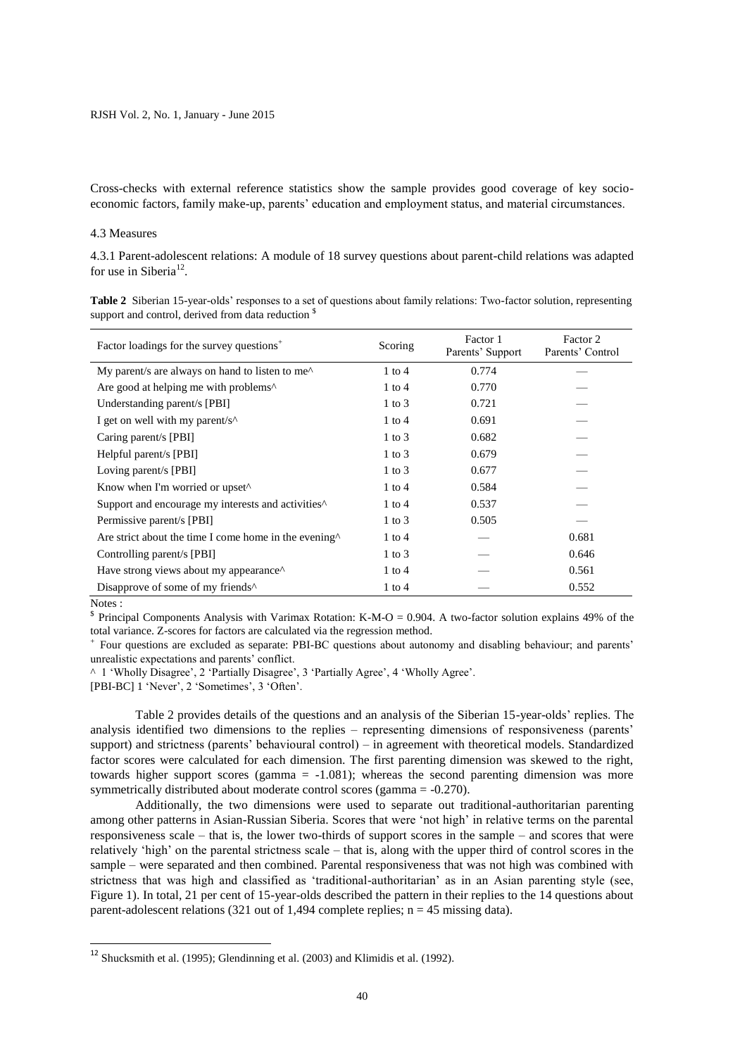Cross-checks with external reference statistics show the sample provides good coverage of key socioeconomic factors, family make-up, parents' education and employment status, and material circumstances.

### 4.3 Measures

4.3.1 Parent-adolescent relations: A module of 18 survey questions about parent-child relations was adapted for use in Siberia<sup>12</sup>.

**Table 2** Siberian 15-year-olds' responses to a set of questions about family relations: Two-factor solution, representing support and control, derived from data reduction  $\frac{1}{2}$ 

| Factor loadings for the survey questions <sup>+</sup>                            | Scoring    | Factor 1<br>Parents' Support | Factor 2<br>Parents' Control |
|----------------------------------------------------------------------------------|------------|------------------------------|------------------------------|
| My parent/s are always on hand to listen to me^                                  | $1$ to $4$ | 0.774                        |                              |
| Are good at helping me with problems <sup><math>\wedge</math></sup>              | $1$ to $4$ | 0.770                        |                              |
| Understanding parent/s [PBI]                                                     | $1$ to $3$ | 0.721                        |                              |
| I get on well with my parent/s <sup><math>\wedge</math></sup>                    | $1$ to $4$ | 0.691                        |                              |
| Caring parent/s [PBI]                                                            | $1$ to $3$ | 0.682                        |                              |
| Helpful parent/s [PBI]                                                           | $1$ to $3$ | 0.679                        |                              |
| Loving parent/s [PBI]                                                            | $1$ to $3$ | 0.677                        |                              |
| Know when I'm worried or upset <sup>^</sup>                                      | $1$ to $4$ | 0.584                        |                              |
| Support and encourage my interests and activities <sup><math>\wedge</math></sup> | $1$ to $4$ | 0.537                        |                              |
| Permissive parent/s [PBI]                                                        | $1$ to $3$ | 0.505                        |                              |
| Are strict about the time I come home in the evening <sup>^</sup>                | $1$ to $4$ |                              | 0.681                        |
| Controlling parent/s [PBI]                                                       | $1$ to $3$ |                              | 0.646                        |
| Have strong views about my appearance <sup><math>\wedge</math></sup>             | $1$ to $4$ |                              | 0.561                        |
| Disapprove of some of my friends <sup>^</sup>                                    | $1$ to $4$ |                              | 0.552                        |

Notes :

**.** 

Principal Components Analysis with Varimax Rotation: K-M-O = 0.904. A two-factor solution explains 49% of the total variance. Z-scores for factors are calculated via the regression method.

<sup>+</sup>Four questions are excluded as separate: PBI-BC questions about autonomy and disabling behaviour; and parents' unrealistic expectations and parents' conflict.

^ 1 'Wholly Disagree', 2 'Partially Disagree', 3 'Partially Agree', 4 'Wholly Agree'.

[PBI-BC] 1 'Never', 2 'Sometimes', 3 'Often'.

Table 2 provides details of the questions and an analysis of the Siberian 15-year-olds' replies. The analysis identified two dimensions to the replies – representing dimensions of responsiveness (parents' support) and strictness (parents' behavioural control) – in agreement with theoretical models. Standardized factor scores were calculated for each dimension. The first parenting dimension was skewed to the right, towards higher support scores (gamma = -1.081); whereas the second parenting dimension was more symmetrically distributed about moderate control scores (gamma = -0.270).

Additionally, the two dimensions were used to separate out traditional-authoritarian parenting among other patterns in Asian-Russian Siberia. Scores that were 'not high' in relative terms on the parental responsiveness scale – that is, the lower two-thirds of support scores in the sample – and scores that were relatively 'high' on the parental strictness scale – that is, along with the upper third of control scores in the sample – were separated and then combined. Parental responsiveness that was not high was combined with strictness that was high and classified as 'traditional-authoritarian' as in an Asian parenting style (see, Figure 1). In total, 21 per cent of 15-year-olds described the pattern in their replies to the 14 questions about parent-adolescent relations (321 out of 1,494 complete replies;  $n = 45$  missing data).

<sup>12</sup> Shucksmith et al. (1995); Glendinning et al. (2003) and Klimidis et al. (1992).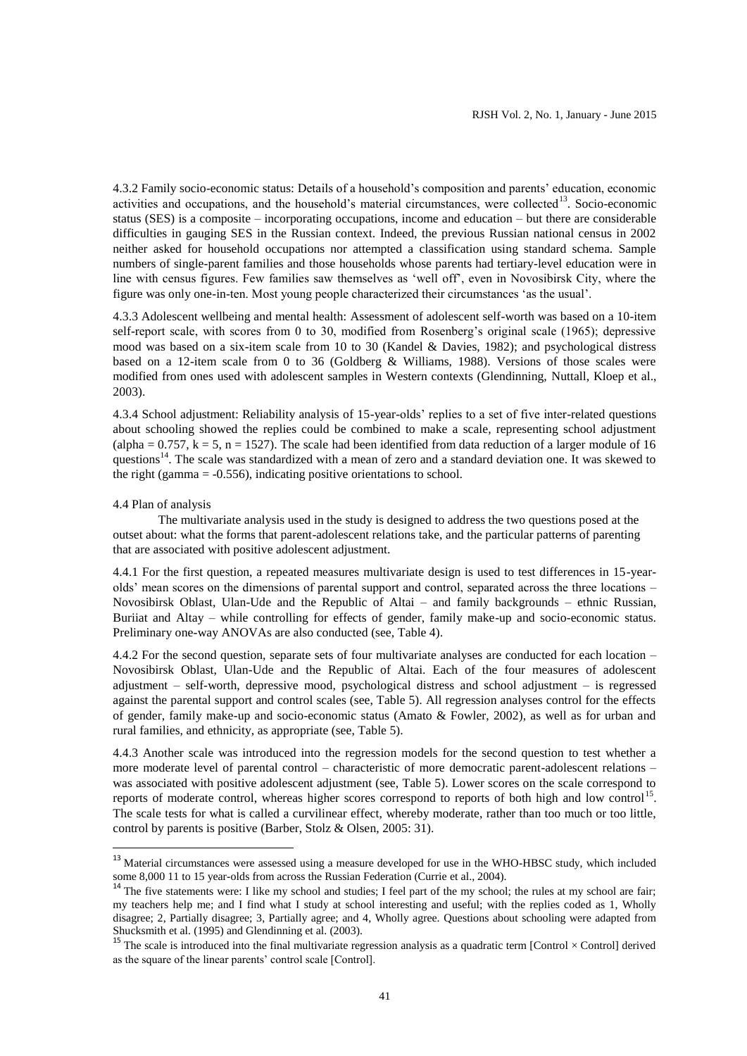4.3.2 Family socio-economic status: Details of a household's composition and parents' education, economic activities and occupations, and the household's material circumstances, were collected<sup>13</sup>. Socio-economic status (SES) is a composite – incorporating occupations, income and education – but there are considerable difficulties in gauging SES in the Russian context. Indeed, the previous Russian national census in 2002 neither asked for household occupations nor attempted a classification using standard schema. Sample numbers of single-parent families and those households whose parents had tertiary-level education were in line with census figures. Few families saw themselves as 'well off', even in Novosibirsk City, where the figure was only one-in-ten. Most young people characterized their circumstances 'as the usual'.

4.3.3 Adolescent wellbeing and mental health: Assessment of adolescent self-worth was based on a 10-item self-report scale, with scores from 0 to 30, modified from Rosenberg's original scale (1965); depressive mood was based on a six-item scale from 10 to 30 (Kandel & Davies, 1982); and psychological distress based on a 12-item scale from 0 to 36 (Goldberg & Williams, 1988). Versions of those scales were modified from ones used with adolescent samples in Western contexts (Glendinning, Nuttall, Kloep et al., 2003).

4.3.4 School adjustment: Reliability analysis of 15-year-olds' replies to a set of five inter-related questions about schooling showed the replies could be combined to make a scale, representing school adjustment (alpha =  $0.757$ , k = 5, n = 1527). The scale had been identified from data reduction of a larger module of 16 questions<sup>14</sup>. The scale was standardized with a mean of zero and a standard deviation one. It was skewed to the right (gamma  $= -0.556$ ), indicating positive orientations to school.

### 4.4 Plan of analysis

**.** 

The multivariate analysis used in the study is designed to address the two questions posed at the outset about: what the forms that parent-adolescent relations take, and the particular patterns of parenting that are associated with positive adolescent adjustment.

4.4.1 For the first question, a repeated measures multivariate design is used to test differences in 15-yearolds' mean scores on the dimensions of parental support and control, separated across the three locations – Novosibirsk Oblast, Ulan-Ude and the Republic of Altai – and family backgrounds – ethnic Russian, Buriiat and Altay – while controlling for effects of gender, family make-up and socio-economic status. Preliminary one-way ANOVAs are also conducted (see, Table 4).

4.4.2 For the second question, separate sets of four multivariate analyses are conducted for each location – Novosibirsk Oblast, Ulan-Ude and the Republic of Altai. Each of the four measures of adolescent adjustment – self-worth, depressive mood, psychological distress and school adjustment – is regressed against the parental support and control scales (see, Table 5). All regression analyses control for the effects of gender, family make-up and socio-economic status (Amato & Fowler, 2002), as well as for urban and rural families, and ethnicity, as appropriate (see, Table 5).

4.4.3 Another scale was introduced into the regression models for the second question to test whether a more moderate level of parental control – characteristic of more democratic parent-adolescent relations – was associated with positive adolescent adjustment (see, Table 5). Lower scores on the scale correspond to reports of moderate control, whereas higher scores correspond to reports of both high and low control<sup>15</sup>. The scale tests for what is called a curvilinear effect, whereby moderate, rather than too much or too little, control by parents is positive (Barber, Stolz & Olsen, 2005: 31).

<sup>&</sup>lt;sup>13</sup> Material circumstances were assessed using a measure developed for use in the WHO-HBSC study, which included some 8,000 11 to 15 year-olds from across the Russian Federation (Currie et al., 2004).

<sup>&</sup>lt;sup>14</sup> The five statements were: I like my school and studies; I feel part of the my school; the rules at my school are fair; my teachers help me; and I find what I study at school interesting and useful; with the replies coded as 1, Wholly disagree; 2, Partially disagree; 3, Partially agree; and 4, Wholly agree. Questions about schooling were adapted from Shucksmith et al. (1995) and Glendinning et al. (2003).

<sup>&</sup>lt;sup>15</sup> The scale is introduced into the final multivariate regression analysis as a quadratic term [Control  $\times$  Control] derived as the square of the linear parents' control scale [Control].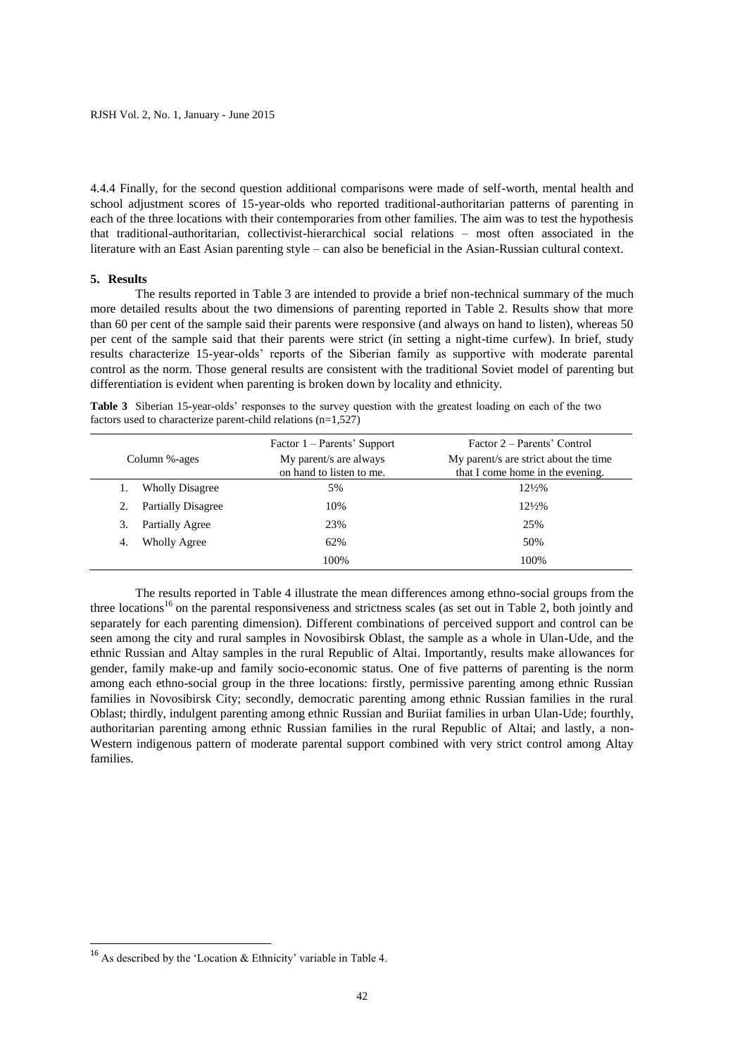4.4.4 Finally, for the second question additional comparisons were made of self-worth, mental health and school adjustment scores of 15-year-olds who reported traditional-authoritarian patterns of parenting in each of the three locations with their contemporaries from other families. The aim was to test the hypothesis that traditional-authoritarian, collectivist-hierarchical social relations – most often associated in the literature with an East Asian parenting style – can also be beneficial in the Asian-Russian cultural context.

### **5. Results**

The results reported in Table 3 are intended to provide a brief non-technical summary of the much more detailed results about the two dimensions of parenting reported in Table 2. Results show that more than 60 per cent of the sample said their parents were responsive (and always on hand to listen), whereas 50 per cent of the sample said that their parents were strict (in setting a night-time curfew). In brief, study results characterize 15-year-olds' reports of the Siberian family as supportive with moderate parental control as the norm. Those general results are consistent with the traditional Soviet model of parenting but differentiation is evident when parenting is broken down by locality and ethnicity.

**Table 3** Siberian 15-year-olds' responses to the survey question with the greatest loading on each of the two factors used to characterize parent-child relations  $(n=1,527)$ 

| Column %-ages             | Factor 1 – Parents' Support<br>My parent/s are always<br>on hand to listen to me. | Factor 2 – Parents' Control<br>My parent/s are strict about the time<br>that I come home in the evening. |
|---------------------------|-----------------------------------------------------------------------------------|----------------------------------------------------------------------------------------------------------|
| <b>Wholly Disagree</b>    | 5%                                                                                | $12\frac{1}{2}\%$                                                                                        |
| <b>Partially Disagree</b> | 10%                                                                               | $12\frac{1}{2}\%$                                                                                        |
| Partially Agree<br>3.     | 23%                                                                               | 25%                                                                                                      |
| <b>Wholly Agree</b><br>4. | 62%                                                                               | 50%                                                                                                      |
|                           | 100%                                                                              | 100%                                                                                                     |

The results reported in Table 4 illustrate the mean differences among ethno-social groups from the three locations<sup>16</sup> on the parental responsiveness and strictness scales (as set out in Table 2, both jointly and separately for each parenting dimension). Different combinations of perceived support and control can be seen among the city and rural samples in Novosibirsk Oblast, the sample as a whole in Ulan-Ude, and the ethnic Russian and Altay samples in the rural Republic of Altai. Importantly, results make allowances for gender, family make-up and family socio-economic status. One of five patterns of parenting is the norm among each ethno-social group in the three locations: firstly, permissive parenting among ethnic Russian families in Novosibirsk City; secondly, democratic parenting among ethnic Russian families in the rural Oblast; thirdly, indulgent parenting among ethnic Russian and Buriiat families in urban Ulan-Ude; fourthly, authoritarian parenting among ethnic Russian families in the rural Republic of Altai; and lastly, a non-Western indigenous pattern of moderate parental support combined with very strict control among Altay families.

**.** 

<sup>16</sup> As described by the 'Location & Ethnicity' variable in Table 4.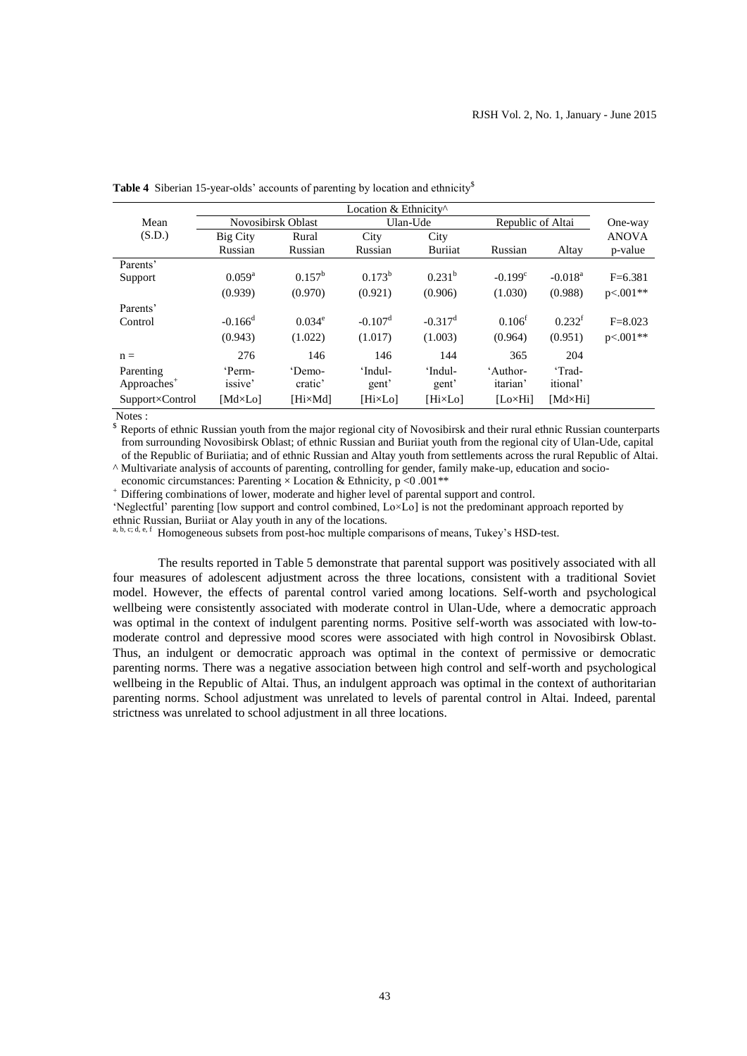|                         |                       |                 | Location & Ethnicity <sup>^</sup> |                       |                    |                       |              |
|-------------------------|-----------------------|-----------------|-----------------------------------|-----------------------|--------------------|-----------------------|--------------|
| Mean                    | Novosibirsk Oblast    |                 | Ulan-Ude                          |                       | Republic of Altai  |                       | One-way      |
| (S.D.)                  | <b>Big City</b>       | Rural           | City                              | City                  |                    |                       | <b>ANOVA</b> |
|                         | Russian               | Russian         | Russian                           | <b>Buritat</b>        | Russian            | Altay                 | p-value      |
| Parents'                |                       |                 |                                   |                       |                    |                       |              |
| Support                 | $0.059^{\rm a}$       | $0.157^{\rm b}$ | $0.173^{b}$                       | $0.231^{b}$           | $-0.199^{\circ}$   | $-0.018$ <sup>a</sup> | $F=6.381$    |
|                         | (0.939)               | (0.970)         | (0.921)                           | (0.906)               | (1.030)            | (0.988)               | $p<.001**$   |
| Parents'                |                       |                 |                                   |                       |                    |                       |              |
| Control                 | $-0.166$ <sup>d</sup> | $0.034^e$       | $-0.107d$                         | $-0.317$ <sup>d</sup> | 0.106 <sup>f</sup> | 0.232 <sup>f</sup>    | $F = 8.023$  |
|                         | (0.943)               | (1.022)         | (1.017)                           | (1.003)               | (0.964)            | (0.951)               | $p<.001**$   |
| $n =$                   | 276                   | 146             | 146                               | 144                   | 365                | 204                   |              |
| Parenting               | 'Perm-                | 'Demo-          | 'Indul-                           | 'Indul-               | 'Author-           | 'Trad-                |              |
| Approaches <sup>+</sup> | issive'               | cratic'         | gent'                             | gent'                 | itarian'           | <i>itional</i>        |              |
| Support×Control         | $[Md \times Lo]$      | [Hi×Md]         | [Hi×Lo]                           | [HixLo]               | $[Lo \times Hi]$   | $[Md \times Hi]$      |              |

**Table 4** Siberian 15-year-olds' accounts of parenting by location and ethnicity<sup>§</sup>

Notes :

Reports of ethnic Russian youth from the major regional city of Novosibirsk and their rural ethnic Russian counterparts from surrounding Novosibirsk Oblast; of ethnic Russian and Buriiat youth from the regional city of Ulan-Ude, capital of the Republic of Buriiatia; and of ethnic Russian and Altay youth from settlements across the rural Republic of Altai. ^ Multivariate analysis of accounts of parenting, controlling for gender, family make-up, education and socio-

economic circumstances: Parenting  $\times$  Location & Ethnicity, p <0 .001\*\*

Differing combinations of lower, moderate and higher level of parental support and control.

'Neglectful' parenting [low support and control combined, Lo×Lo] is not the predominant approach reported by ethnic Russian, Buriiat or Alay youth in any of the locations.

a, b, c; d, e, f Homogeneous subsets from post-hoc multiple comparisons of means, Tukey's HSD-test.

The results reported in Table 5 demonstrate that parental support was positively associated with all four measures of adolescent adjustment across the three locations, consistent with a traditional Soviet model. However, the effects of parental control varied among locations. Self-worth and psychological wellbeing were consistently associated with moderate control in Ulan-Ude, where a democratic approach was optimal in the context of indulgent parenting norms. Positive self-worth was associated with low-tomoderate control and depressive mood scores were associated with high control in Novosibirsk Oblast. Thus, an indulgent or democratic approach was optimal in the context of permissive or democratic parenting norms. There was a negative association between high control and self-worth and psychological wellbeing in the Republic of Altai. Thus, an indulgent approach was optimal in the context of authoritarian parenting norms. School adjustment was unrelated to levels of parental control in Altai. Indeed, parental strictness was unrelated to school adjustment in all three locations.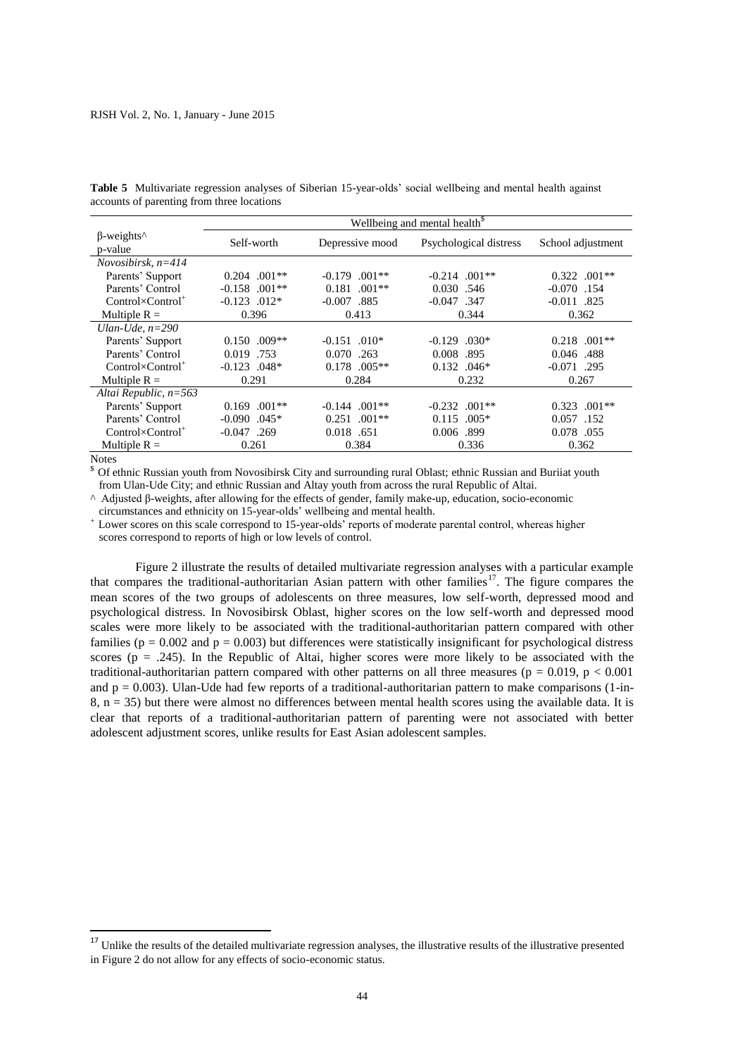|                                                            | Wellbeing and mental health <sup>§</sup> |                            |                        |                   |  |
|------------------------------------------------------------|------------------------------------------|----------------------------|------------------------|-------------------|--|
| $\beta$ -weights <sup><math>\wedge</math></sup><br>p-value | Self-worth                               | Depressive mood            | Psychological distress | School adjustment |  |
| Novosibirsk, $n=414$                                       |                                          |                            |                        |                   |  |
| Parents' Support                                           | $0.204$ .001**                           | $-0.179$ $.001**$          | $-0.214$ .001**        | $0.322$ .001**    |  |
| Parents' Control                                           | $-0.158$ .001**                          | $0.181$ .001**             | 0.030 .546             | $-0.070$ .154     |  |
| $Control \times Control^+$                                 | $-0.123$ .012*                           | $-0.007$ .885              | $-0.047$ .347          | $-0.011$ .825     |  |
| Multiple $R =$                                             | 0.396                                    | 0.413                      | 0.344                  | 0.362             |  |
| Ulan-Ude. $n=290$                                          |                                          |                            |                        |                   |  |
| Parents' Support                                           | $0.150$ .009**                           | $-0.151$ .010*             | $-0.129$ .030*         | $0.218$ .001**    |  |
| Parents' Control                                           | 0.019 .753                               | 0.070 .263                 | 0.008<br>.895          | 0.046.488         |  |
| $Control \times Control^+$                                 | $-0.123$ .048*                           | $0.178$ .005**             | $0.132$ .046*          | $-0.071$ .295     |  |
| Multiple $R =$                                             | 0.291                                    | 0.284                      | 0.232                  | 0.267             |  |
| Altai Republic, $n=563$                                    |                                          |                            |                        |                   |  |
| Parents' Support                                           | $0.169$ $.001**$                         | $-0.144$ $.001**$          | $-0.232$ $.001**$      | $.001**$<br>0.323 |  |
| Parents' Control                                           | $-0.090$ .045*                           | $0.251$ .001 <sup>**</sup> | $0.115$ .005*          | 0.057 .152        |  |
| $Control \times Control^+$                                 | $-0.047$ . 269                           | 0.018 .651                 | 0.006.399              | 0.078 .055        |  |
| Multiple $R =$                                             | 0.261                                    | 0.384                      | 0.336                  | 0.362             |  |

**Table 5** Multivariate regression analyses of Siberian 15-year-olds' social wellbeing and mental health against accounts of parenting from three locations

Notes

1

Of ethnic Russian youth from Novosibirsk City and surrounding rural Oblast; ethnic Russian and Buriiat youth from Ulan-Ude City; and ethnic Russian and Altay youth from across the rural Republic of Altai.

^ Adjusted β-weights, after allowing for the effects of gender, family make-up, education, socio-economic

circumstances and ethnicity on 15-year-olds' wellbeing and mental health.

Lower scores on this scale correspond to 15-year-olds' reports of moderate parental control, whereas higher

scores correspond to reports of high or low levels of control.

Figure 2 illustrate the results of detailed multivariate regression analyses with a particular example that compares the traditional-authoritarian Asian pattern with other families<sup>17</sup>. The figure compares the mean scores of the two groups of adolescents on three measures, low self-worth, depressed mood and psychological distress. In Novosibirsk Oblast, higher scores on the low self-worth and depressed mood scales were more likely to be associated with the traditional-authoritarian pattern compared with other families ( $p = 0.002$  and  $p = 0.003$ ) but differences were statistically insignificant for psychological distress scores ( $p = .245$ ). In the Republic of Altai, higher scores were more likely to be associated with the traditional-authoritarian pattern compared with other patterns on all three measures ( $p = 0.019$ ,  $p < 0.001$ ) and  $p = 0.003$ ). Ulan-Ude had few reports of a traditional-authoritarian pattern to make comparisons (1-in- $8$ ,  $n = 35$ ) but there were almost no differences between mental health scores using the available data. It is clear that reports of a traditional-authoritarian pattern of parenting were not associated with better adolescent adjustment scores, unlike results for East Asian adolescent samples.

<sup>&</sup>lt;sup>17</sup> Unlike the results of the detailed multivariate regression analyses, the illustrative results of the illustrative presented in Figure 2 do not allow for any effects of socio-economic status.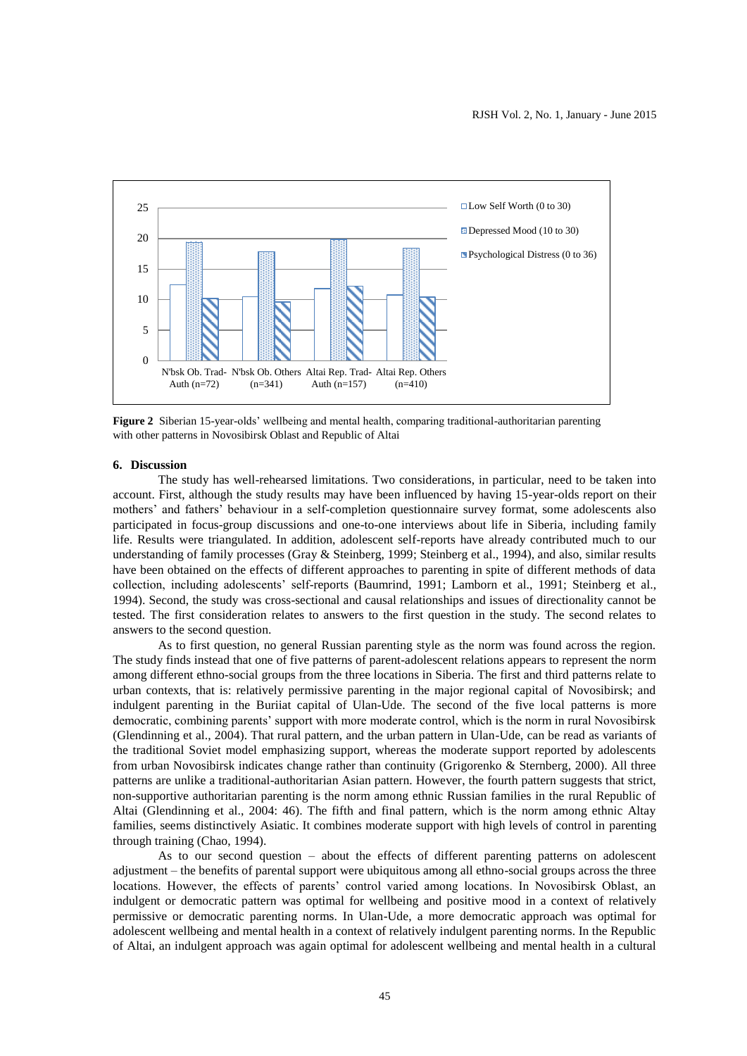

**Figure 2** Siberian 15-year-olds' wellbeing and mental health, comparing traditional-authoritarian parenting with other patterns in Novosibirsk Oblast and Republic of Altai

## **6. Discussion**

The study has well-rehearsed limitations. Two considerations, in particular, need to be taken into account. First, although the study results may have been influenced by having 15-year-olds report on their mothers' and fathers' behaviour in a self-completion questionnaire survey format, some adolescents also participated in focus-group discussions and one-to-one interviews about life in Siberia, including family life. Results were triangulated. In addition, adolescent self-reports have already contributed much to our understanding of family processes (Gray & Steinberg, 1999; Steinberg et al., 1994), and also, similar results have been obtained on the effects of different approaches to parenting in spite of different methods of data collection, including adolescents' self-reports (Baumrind, 1991; Lamborn et al., 1991; Steinberg et al., 1994). Second, the study was cross-sectional and causal relationships and issues of directionality cannot be tested. The first consideration relates to answers to the first question in the study. The second relates to answers to the second question.

As to first question, no general Russian parenting style as the norm was found across the region. The study finds instead that one of five patterns of parent-adolescent relations appears to represent the norm among different ethno-social groups from the three locations in Siberia. The first and third patterns relate to urban contexts, that is: relatively permissive parenting in the major regional capital of Novosibirsk; and indulgent parenting in the Buriiat capital of Ulan-Ude. The second of the five local patterns is more democratic, combining parents' support with more moderate control, which is the norm in rural Novosibirsk (Glendinning et al., 2004). That rural pattern, and the urban pattern in Ulan-Ude, can be read as variants of the traditional Soviet model emphasizing support, whereas the moderate support reported by adolescents from urban Novosibirsk indicates change rather than continuity (Grigorenko & Sternberg, 2000). All three patterns are unlike a traditional-authoritarian Asian pattern. However, the fourth pattern suggests that strict, non-supportive authoritarian parenting is the norm among ethnic Russian families in the rural Republic of Altai (Glendinning et al., 2004: 46). The fifth and final pattern, which is the norm among ethnic Altay families, seems distinctively Asiatic. It combines moderate support with high levels of control in parenting through training (Chao, 1994).

As to our second question – about the effects of different parenting patterns on adolescent adjustment – the benefits of parental support were ubiquitous among all ethno-social groups across the three locations. However, the effects of parents' control varied among locations. In Novosibirsk Oblast, an indulgent or democratic pattern was optimal for wellbeing and positive mood in a context of relatively permissive or democratic parenting norms. In Ulan-Ude, a more democratic approach was optimal for adolescent wellbeing and mental health in a context of relatively indulgent parenting norms. In the Republic of Altai, an indulgent approach was again optimal for adolescent wellbeing and mental health in a cultural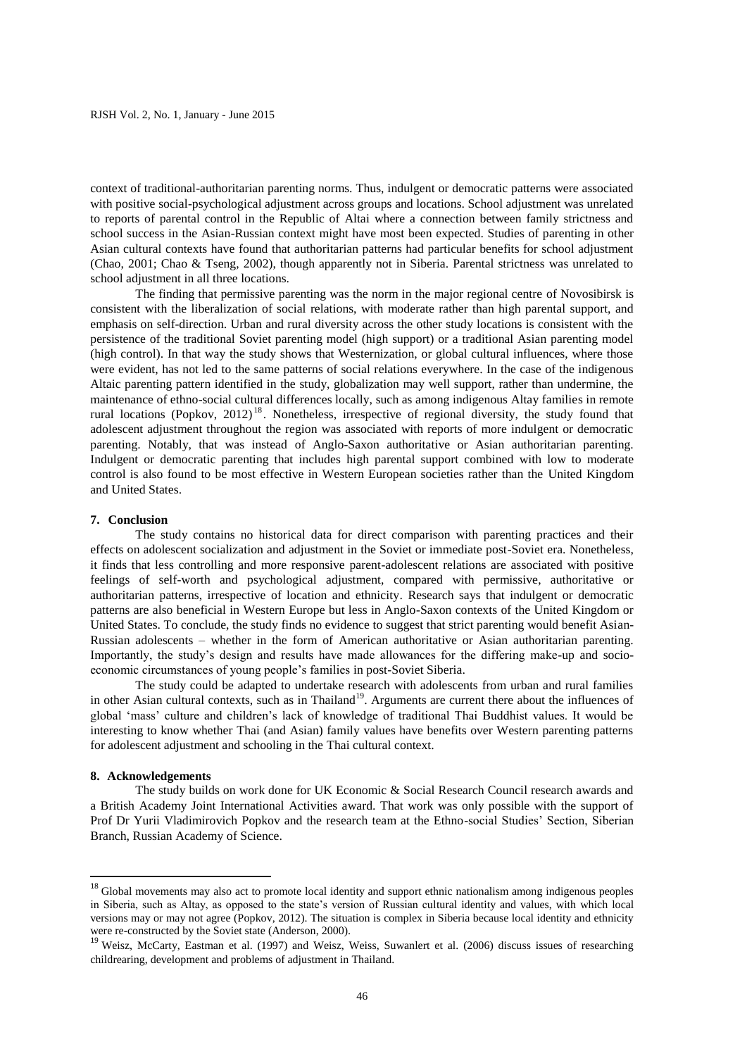context of traditional-authoritarian parenting norms. Thus, indulgent or democratic patterns were associated with positive social-psychological adjustment across groups and locations. School adjustment was unrelated to reports of parental control in the Republic of Altai where a connection between family strictness and school success in the Asian-Russian context might have most been expected. Studies of parenting in other Asian cultural contexts have found that authoritarian patterns had particular benefits for school adjustment (Chao, 2001; Chao & Tseng, 2002), though apparently not in Siberia. Parental strictness was unrelated to school adjustment in all three locations.

The finding that permissive parenting was the norm in the major regional centre of Novosibirsk is consistent with the liberalization of social relations, with moderate rather than high parental support, and emphasis on self-direction. Urban and rural diversity across the other study locations is consistent with the persistence of the traditional Soviet parenting model (high support) or a traditional Asian parenting model (high control). In that way the study shows that Westernization, or global cultural influences, where those were evident, has not led to the same patterns of social relations everywhere. In the case of the indigenous Altaic parenting pattern identified in the study, globalization may well support, rather than undermine, the maintenance of ethno-social cultural differences locally, such as among indigenous Altay families in remote rural locations (Popkov, 2012) <sup>18</sup> . Nonetheless, irrespective of regional diversity, the study found that adolescent adjustment throughout the region was associated with reports of more indulgent or democratic parenting. Notably, that was instead of Anglo-Saxon authoritative or Asian authoritarian parenting. Indulgent or democratic parenting that includes high parental support combined with low to moderate control is also found to be most effective in Western European societies rather than the United Kingdom and United States.

# **7. Conclusion**

The study contains no historical data for direct comparison with parenting practices and their effects on adolescent socialization and adjustment in the Soviet or immediate post-Soviet era. Nonetheless, it finds that less controlling and more responsive parent-adolescent relations are associated with positive feelings of self-worth and psychological adjustment, compared with permissive, authoritative or authoritarian patterns, irrespective of location and ethnicity. Research says that indulgent or democratic patterns are also beneficial in Western Europe but less in Anglo-Saxon contexts of the United Kingdom or United States. To conclude, the study finds no evidence to suggest that strict parenting would benefit Asian-Russian adolescents – whether in the form of American authoritative or Asian authoritarian parenting. Importantly, the study's design and results have made allowances for the differing make-up and socioeconomic circumstances of young people's families in post-Soviet Siberia.

The study could be adapted to undertake research with adolescents from urban and rural families in other Asian cultural contexts, such as in Thailand<sup>19</sup>. Arguments are current there about the influences of global 'mass' culture and children's lack of knowledge of traditional Thai Buddhist values. It would be interesting to know whether Thai (and Asian) family values have benefits over Western parenting patterns for adolescent adjustment and schooling in the Thai cultural context.

## **8. Acknowledgements**

**.** 

The study builds on work done for UK Economic & Social Research Council research awards and a British Academy Joint International Activities award. That work was only possible with the support of Prof Dr Yurii Vladimirovich Popkov and the research team at the Ethno-social Studies' Section, Siberian Branch, Russian Academy of Science.

<sup>&</sup>lt;sup>18</sup> Global movements may also act to promote local identity and support ethnic nationalism among indigenous peoples in Siberia, such as Altay, as opposed to the state's version of Russian cultural identity and values, with which local versions may or may not agree (Popkov, 2012). The situation is complex in Siberia because local identity and ethnicity were re-constructed by the Soviet state (Anderson, 2000).

<sup>&</sup>lt;sup>19</sup> Weisz, McCarty, Eastman et al. (1997) and Weisz, Weiss, Suwanlert et al. (2006) discuss issues of researching childrearing, development and problems of adjustment in Thailand.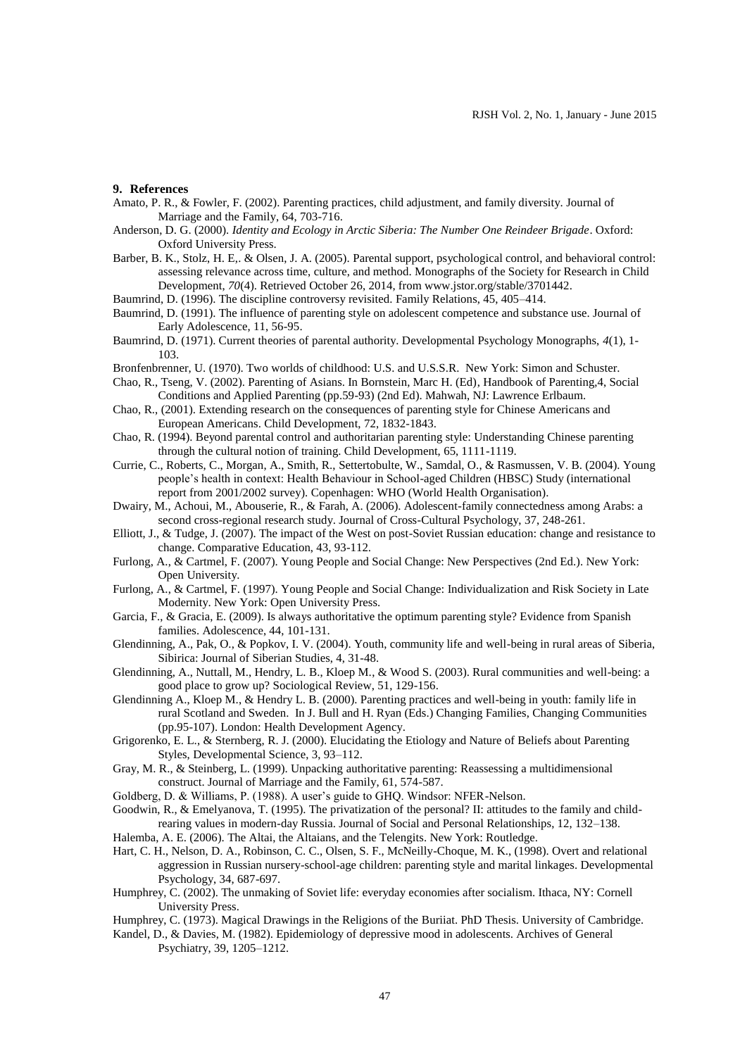### **9. References**

- Amato, P. R., & Fowler, F. (2002). Parenting practices, child adjustment, and family diversity. Journal of Marriage and the Family, 64, 703-716.
- Anderson, D. G. (2000). *Identity and Ecology in Arctic Siberia: The Number One Reindeer Brigade*. Oxford: Oxford University Press.
- Barber, B. K., Stolz, H. E,. & Olsen, J. A. (2005). Parental support, psychological control, and behavioral control: assessing relevance across time, culture, and method. Monographs of the Society for Research in Child Development, *70*(4). Retrieved October 26, 2014, from www.jstor.org/stable/3701442.
- Baumrind, D. (1996). The discipline controversy revisited. Family Relations, 45, 405–414.
- Baumrind, D. (1991). The influence of parenting style on adolescent competence and substance use. Journal of Early Adolescence, 11, 56-95.
- Baumrind, D. (1971). Current theories of parental authority. Developmental Psychology Monographs, *4*(1), 1- 103.
- Bronfenbrenner, U. (1970). Two worlds of childhood: U.S. and U.S.S.R. New York: Simon and Schuster.
- Chao, R., Tseng, V. (2002). Parenting of Asians. In Bornstein, Marc H. (Ed), Handbook of Parenting,4, Social Conditions and Applied Parenting (pp.59-93) (2nd Ed). Mahwah, NJ: Lawrence Erlbaum.
- Chao, R., (2001). Extending research on the consequences of parenting style for Chinese Americans and European Americans. Child Development, 72, 1832-1843.
- Chao, R. (1994). Beyond parental control and authoritarian parenting style: Understanding Chinese parenting through the cultural notion of training. Child Development, 65, 1111-1119.
- Currie, C., Roberts, C., Morgan, A., Smith, R., Settertobulte, W., Samdal, O., & Rasmussen, V. B. (2004). Young people's health in context: Health Behaviour in School-aged Children (HBSC) Study (international report from 2001/2002 survey). Copenhagen: WHO (World Health Organisation).
- Dwairy, M., Achoui, M., Abouserie, R., & Farah, A. (2006). Adolescent-family connectedness among Arabs: a second cross-regional research study. Journal of Cross-Cultural Psychology, 37, 248-261.
- Elliott, J., & Tudge, J. (2007). The impact of the West on post-Soviet Russian education: change and resistance to change. Comparative Education, 43, 93-112.
- Furlong, A., & Cartmel, F. (2007). Young People and Social Change: New Perspectives (2nd Ed.). New York: Open University.
- Furlong, A., & Cartmel, F. (1997). Young People and Social Change: Individualization and Risk Society in Late Modernity. New York: Open University Press.
- Garcia, F., & Gracia, E. (2009). Is always authoritative the optimum parenting style? Evidence from Spanish families. Adolescence, 44, 101-131.
- Glendinning, A., Pak, O., & Popkov, I. V. (2004). Youth, community life and well-being in rural areas of Siberia, Sibirica: Journal of Siberian Studies, 4, 31-48.
- Glendinning, A., Nuttall, M., Hendry, L. B., Kloep M., & Wood S. (2003). Rural communities and well-being: a good place to grow up? Sociological Review, 51, 129-156.
- Glendinning A., Kloep M., & Hendry L. B. (2000). Parenting practices and well-being in youth: family life in rural Scotland and Sweden. In J. Bull and H. Ryan (Eds.) Changing Families, Changing Communities (pp.95-107). London: Health Development Agency.
- Grigorenko, E. L., & Sternberg, R. J. (2000). Elucidating the Etiology and Nature of Beliefs about Parenting Styles, Developmental Science, 3, 93–112.
- Gray, M. R., & Steinberg, L. (1999). Unpacking authoritative parenting: Reassessing a multidimensional construct. Journal of Marriage and the Family, 61, 574-587.
- Goldberg, D. & Williams, P. (1988). A user's guide to GHQ. Windsor: NFER-Nelson.
- Goodwin, R., & Emelyanova, T. (1995). The privatization of the personal? II: attitudes to the family and childrearing values in modern-day Russia. Journal of Social and Personal Relationships, 12, 132–138.
- Halemba, A. E. (2006). The Altai, the Altaians, and the Telengits. New York: Routledge.
- Hart, C. H., Nelson, D. A., Robinson, C. C., Olsen, S. F., McNeilly-Choque, M. K., (1998). Overt and relational aggression in Russian nursery-school-age children: parenting style and marital linkages. Developmental Psychology, 34, 687-697.
- Humphrey, C. (2002). The unmaking of Soviet life: everyday economies after socialism. Ithaca, NY: Cornell University Press.
- Humphrey, C. (1973). Magical Drawings in the Religions of the Buriiat. PhD Thesis. University of Cambridge.
- Kandel, D., & Davies, M. (1982). Epidemiology of depressive mood in adolescents. Archives of General Psychiatry, 39, 1205–1212.